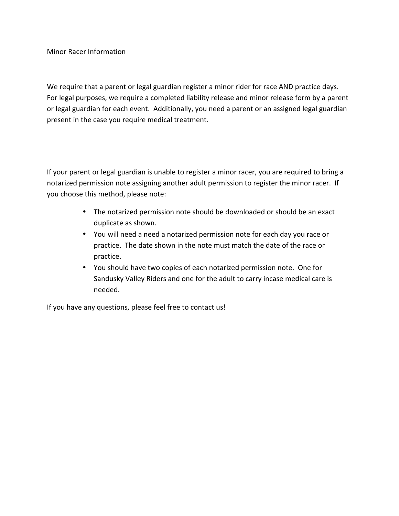Minor Racer Information

We require that a parent or legal guardian register a minor rider for race AND practice days. For legal purposes, we require a completed liability release and minor release form by a parent or legal guardian for each event. Additionally, you need a parent or an assigned legal guardian present in the case you require medical treatment.

If your parent or legal guardian is unable to register a minor racer, you are required to bring a notarized permission note assigning another adult permission to register the minor racer. If you choose this method, please note:

- The notarized permission note should be downloaded or should be an exact duplicate as shown.
- You will need a need a notarized permission note for each day you race or practice. The date shown in the note must match the date of the race or practice.
- You should have two copies of each notarized permission note. One for Sandusky Valley Riders and one for the adult to carry incase medical care is needed.

If you have any questions, please feel free to contact us!